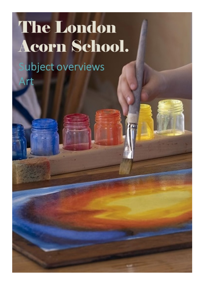## **The London Acorn School.** ubject overviews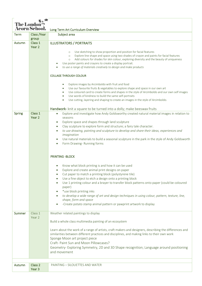| The London  | <b>Acorn School.</b>         | Long Term Art Curriculum Overview                                                                                                                                                                                                                                                                                                                                                                                                                                                                                                                                                           |
|-------------|------------------------------|---------------------------------------------------------------------------------------------------------------------------------------------------------------------------------------------------------------------------------------------------------------------------------------------------------------------------------------------------------------------------------------------------------------------------------------------------------------------------------------------------------------------------------------------------------------------------------------------|
| <b>Term</b> | Class /Year<br>group         | Subject area                                                                                                                                                                                                                                                                                                                                                                                                                                                                                                                                                                                |
| Autumn      | Class 1<br>Year <sub>2</sub> | <b>ILLUSTRATORS / PORTRAITS</b><br>Use sketching to show proportion and position for facial features<br>$\circ$<br>Explore line shape and space using two shades of crayon and paints for facial features<br>$\circ$<br>Add colours for shades for skin colour, exploring diversity and the beauty of uniqueness<br>$\circ$<br>Use poster paints and crayons to create a display portrait.<br>to use a range of materials creatively to design and make products                                                                                                                            |
|             |                              | <b>COLLAGE THROUGH COLOUR</b><br>Explore images by Arcimboldo with fruit and food<br>$\bullet$<br>Use our favourite fruits & vegetables to explore shape and space in our own art<br>$\bullet$<br>Use coloured card to create forms and shapes in the style of Arcimboldo and our own self images<br>$\bullet$<br>Use words of kindness to build the same self-portraits<br>$\bullet$<br>Use cutting, layering and shaping to create an images in the style of Arcimboldo.<br>$\bullet$                                                                                                     |
| Spring      | Class 1<br>Year 2            | Handwork- knit a square to be turned into a dolly; make beeswax fruits<br>Explore and investigate how Andy Goldsworthy created natural material images in relation to<br>seasons<br>Explore space and shapes through land sculpture<br>$\bullet$<br>Clay sculpture to explore form and structure; a fairy tale character.<br>to use drawing, painting and sculpture to develop and share their ideas, experiences and<br>imagination<br>Use natural materials to build a seasonal sculpture in the park in the style of Andy Goldsworth<br>Form Drawing-Running forms<br>$\bullet$          |
|             |                              | <b>PRINTING -BLOCK</b><br>Know what block printing is and how it can be used<br>Explore and create animal print designs on paper<br>Cut paper to match a printing block (polystyrene tile)<br>Use a fine object to etch a design onto a printing block<br>Use 1 printing colour and a brayer to transfer block patterns onto paper (could be coloured<br>paper)<br>*use block printing inks<br>to develop a wide range of art and design techniques in using colour, pattern, texture, line,<br>shape, form and space<br>-Create potato stamp animal pattern or pawprint artwork to display |
| Summer      | Class 1<br>Year 2            | Weather related paintings to display<br>Build a whole class multimedia painting of an ecosystem<br>Learn about the work of a range of artists, craft makers and designers, describing the differences and<br>similarities between different practices and disciplines, and making links to their own work<br>Sponge Moon art project piece<br>Craft- Paint Sun and Moon Pillowcases?<br>Geometry-Exploring Symmetry, 2D and 3D Shape recognition; Language around positioning<br>and movement                                                                                               |
| Autumn      | Class 2<br>Year 3            | PAINTING - SILOUETTES AND WATER                                                                                                                                                                                                                                                                                                                                                                                                                                                                                                                                                             |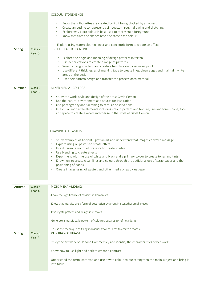|               |                              | <b>COLOUR (STONEHENGE)</b>                                                                                                                                                   |
|---------------|------------------------------|------------------------------------------------------------------------------------------------------------------------------------------------------------------------------|
|               |                              |                                                                                                                                                                              |
|               |                              | Know that silhouettes are created by light being blocked by an object<br>$\bullet$<br>Create an outline to represent a silhouette through drawing and sketching<br>$\bullet$ |
|               |                              | Explore why block colour is best used to represent a foreground<br>$\bullet$                                                                                                 |
|               |                              | Know that tints and shades have the same base colour                                                                                                                         |
|               |                              |                                                                                                                                                                              |
|               |                              | Explore using watercolour in linear and concentric form to create an effect                                                                                                  |
| <b>Spring</b> | Class 2<br>Year <sub>3</sub> | <b>TEXTILES- FABRIC PAINTING</b>                                                                                                                                             |
|               |                              | • Explore the origin and meaning of design patterns in tartan                                                                                                                |
|               |                              | • Use pencil crayons to create a range of patterns                                                                                                                           |
|               |                              | • Select a design pattern and create a template on paper using paint                                                                                                         |
|               |                              | Use different thicknesses of masking tape to create lines, clean edges and maintain white                                                                                    |
|               |                              | areas of the design                                                                                                                                                          |
|               |                              | Use their pattern design and transfer the process onto material                                                                                                              |
| <b>Summer</b> | Class 2                      | MIXED MEDIA - COLLAGE                                                                                                                                                        |
|               | Year <sub>3</sub>            |                                                                                                                                                                              |
|               |                              | Study the work, style and design of the artist Gayle Gerson<br>$\bullet$                                                                                                     |
|               |                              | Use the natural environment as a source for inspiration<br>$\bullet$                                                                                                         |
|               |                              | Use photography and sketching to capture observations<br>$\bullet$                                                                                                           |
|               |                              | Use visual and tactile elements including colour, pattern and texture, line and tone, shape, form<br>$\bullet$                                                               |
|               |                              | and space to create a woodland collage in the style of Gayle Gerson                                                                                                          |
|               |                              |                                                                                                                                                                              |
|               |                              |                                                                                                                                                                              |
|               |                              | <b>DRAWING-OIL PASTELS</b>                                                                                                                                                   |
|               |                              |                                                                                                                                                                              |
|               |                              | Study examples of Ancient Egyptian art and understand that images convey a message<br>$\bullet$<br>Explore using oil pastels to create effect<br>$\bullet$                   |
|               |                              | Use different amount of pressure to create shades<br>$\bullet$                                                                                                               |
|               |                              | Use blending to create effects<br>$\bullet$                                                                                                                                  |
|               |                              | Experiment with the use of white and black and a primary colour to create tones and tints<br>$\bullet$                                                                       |
|               |                              | Know how to create clean lines and colours through the additional use of scrap paper and the<br>$\bullet$                                                                    |
|               |                              | positioning of hands                                                                                                                                                         |
|               |                              | Create images using oil pastels and other media on papyrus paper                                                                                                             |
|               |                              |                                                                                                                                                                              |
|               |                              |                                                                                                                                                                              |
| <b>Autumn</b> | Class 3<br>Year 4            | <b>MIXED MEDIA - MOSAICS</b>                                                                                                                                                 |
|               |                              | -Know the significance of mosaics in Roman art.                                                                                                                              |
|               |                              |                                                                                                                                                                              |
|               |                              | -Know that mosaics are a form of decoration by arranging together small pieces                                                                                               |
|               |                              | -Investigate pattern and design in mosaics                                                                                                                                   |
|               |                              |                                                                                                                                                                              |
|               |                              | -Generate a mosaic style pattern of coloured squares to refine a design                                                                                                      |
|               |                              | -To use the technique of fixing individual small squares to create a mosaic                                                                                                  |
| Spring        | Class 3                      | PAINTING-CONTRAST                                                                                                                                                            |
|               | Year 4                       | Study the art work of Oenone Hammersley and identify the characteristics of her work                                                                                         |
|               |                              |                                                                                                                                                                              |
|               |                              | Know how to use light and dark to create a contrast                                                                                                                          |
|               |                              |                                                                                                                                                                              |
|               |                              | Understand the term 'contrast' and use it with colour colour strengthen the main subject and bring it<br>into focus                                                          |
|               |                              |                                                                                                                                                                              |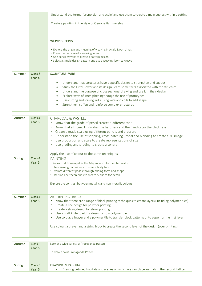|        |                    | Understand the terms 'proportion and scale' and use them to create a main subject within a setting                                                           |
|--------|--------------------|--------------------------------------------------------------------------------------------------------------------------------------------------------------|
|        |                    |                                                                                                                                                              |
|        |                    | Create a painting in the style of Oenone Hammersley                                                                                                          |
|        |                    |                                                                                                                                                              |
|        |                    |                                                                                                                                                              |
|        |                    | <b>WEAVING-LOOMS</b>                                                                                                                                         |
|        |                    | • Explore the origin and meaning of weaving in Anglo Saxon times                                                                                             |
|        |                    | • Know the purpose of a weaving loom                                                                                                                         |
|        |                    | • Use pencil crayons to create a pattern design<br>• Select a simple design pattern and use a weaving loom to weave                                          |
|        |                    |                                                                                                                                                              |
|        |                    |                                                                                                                                                              |
| Summer | Class 3<br>Year 4  | <b>SCULPTURE-WIRE</b>                                                                                                                                        |
|        |                    | Understand that structures have a specific design to strengthen and support<br>$\bullet$                                                                     |
|        |                    | Study the Eiffel Tower and its design, learn some facts associated with the structure                                                                        |
|        |                    | Understand the purpose of cross sectional drawing and use it in their design                                                                                 |
|        |                    | Explore ways of strengthening though the use of prototypes                                                                                                   |
|        |                    | Use cutting and joining skills using wire and coils to add shape                                                                                             |
|        |                    | Strengthen, stiffen and reinforce complex structures                                                                                                         |
|        |                    |                                                                                                                                                              |
| Autumn | Class 4            | <b>CHARCOAL &amp; PASTELS</b>                                                                                                                                |
|        | Year 5             | Know that the grade of pencil creates a different tone<br>$\bullet$                                                                                          |
|        |                    | Know that a H pencil indicates the hardness and the B indicates the blackness<br>$\bullet$<br>Create a grade scale using different pencils and pressure<br>٠ |
|        |                    | Understand the use of stippling, cross-hatching`, tonal and blending to create a 3D image<br>$\bullet$                                                       |
|        |                    | Use proportion and scale to create representations of size<br>$\bullet$                                                                                      |
|        |                    | Use grading and shading to create a sphere<br>$\bullet$                                                                                                      |
|        |                    |                                                                                                                                                              |
|        |                    | Apply the use of colour to the same techniques                                                                                                               |
| Spring | Class 4<br>Year 5  | <b>PAINTING</b><br>• Know that Bonampak is the Mayan word for painted walls                                                                                  |
|        |                    | • Use drawing techniques to create body form                                                                                                                 |
|        |                    | • Explore different poses through adding form and shape                                                                                                      |
|        |                    | • Use fine line techniques to create outlines for detail                                                                                                     |
|        |                    | Explore the contrast between metallic and non-metallic colours                                                                                               |
|        |                    |                                                                                                                                                              |
| Summer | Class 4            | <b>ART PRINTING -BLOCK</b>                                                                                                                                   |
|        | Year 5             | Know that there are a range of block printing techniques to create layers (including polymer tiles)                                                          |
|        |                    | Create a line design for polymer printing<br>$\bullet$                                                                                                       |
|        |                    | Create a string design for string printing<br>$\bullet$                                                                                                      |
|        |                    | Use a craft knife to etch a design onto a polymer tile<br>Use colour, a brayer and a polymer tile to transfer block patterns onto paper for the first layer  |
|        |                    |                                                                                                                                                              |
|        |                    | Use colour, a brayer and a string block to create the second layer of the design (over printing)                                                             |
|        |                    |                                                                                                                                                              |
|        |                    |                                                                                                                                                              |
| Autumn | Class 5            | Look at a wide variety of Propaganda posters                                                                                                                 |
|        | Year <sub>6</sub>  |                                                                                                                                                              |
|        |                    | To draw / paint Propaganda Poster                                                                                                                            |
|        |                    |                                                                                                                                                              |
| Spring | Class <sub>5</sub> | <b>DRAWING &amp; PAINTING</b>                                                                                                                                |
|        | Year <sub>6</sub>  | Drawing detailed habitats and scenes on which we can place animals in the second half term.                                                                  |